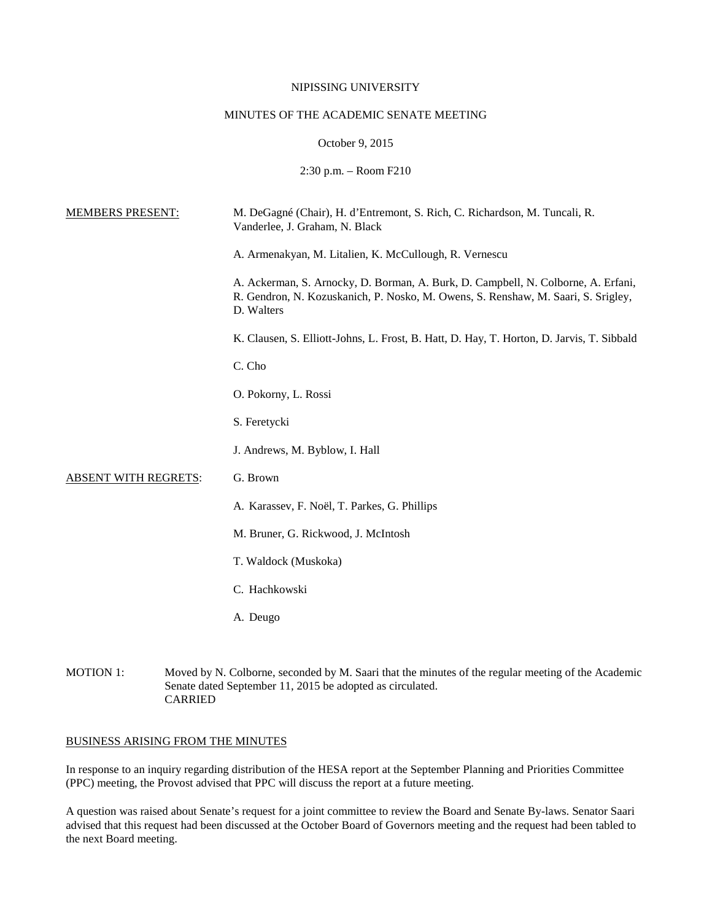## NIPISSING UNIVERSITY

# MINUTES OF THE ACADEMIC SENATE MEETING

# October 9, 2015

2:30 p.m. – Room F210

| <b>MEMBERS PRESENT:</b>     | M. DeGagné (Chair), H. d'Entremont, S. Rich, C. Richardson, M. Tuncali, R.<br>Vanderlee, J. Graham, N. Black                                                                         |
|-----------------------------|--------------------------------------------------------------------------------------------------------------------------------------------------------------------------------------|
|                             | A. Armenakyan, M. Litalien, K. McCullough, R. Vernescu                                                                                                                               |
|                             | A. Ackerman, S. Arnocky, D. Borman, A. Burk, D. Campbell, N. Colborne, A. Erfani,<br>R. Gendron, N. Kozuskanich, P. Nosko, M. Owens, S. Renshaw, M. Saari, S. Srigley,<br>D. Walters |
|                             | K. Clausen, S. Elliott-Johns, L. Frost, B. Hatt, D. Hay, T. Horton, D. Jarvis, T. Sibbald                                                                                            |
|                             | C. Cho                                                                                                                                                                               |
|                             | O. Pokorny, L. Rossi                                                                                                                                                                 |
|                             | S. Feretycki                                                                                                                                                                         |
|                             | J. Andrews, M. Byblow, I. Hall                                                                                                                                                       |
| <b>ABSENT WITH REGRETS:</b> | G. Brown                                                                                                                                                                             |
|                             | A. Karassev, F. Noël, T. Parkes, G. Phillips                                                                                                                                         |
|                             | M. Bruner, G. Rickwood, J. McIntosh                                                                                                                                                  |
|                             | T. Waldock (Muskoka)                                                                                                                                                                 |
|                             | C. Hachkowski                                                                                                                                                                        |
|                             | A. Deugo                                                                                                                                                                             |
|                             |                                                                                                                                                                                      |

MOTION 1: Moved by N. Colborne, seconded by M. Saari that the minutes of the regular meeting of the Academic Senate dated September 11, 2015 be adopted as circulated. CARRIED

# BUSINESS ARISING FROM THE MINUTES

In response to an inquiry regarding distribution of the HESA report at the September Planning and Priorities Committee (PPC) meeting, the Provost advised that PPC will discuss the report at a future meeting.

A question was raised about Senate's request for a joint committee to review the Board and Senate By-laws. Senator Saari advised that this request had been discussed at the October Board of Governors meeting and the request had been tabled to the next Board meeting.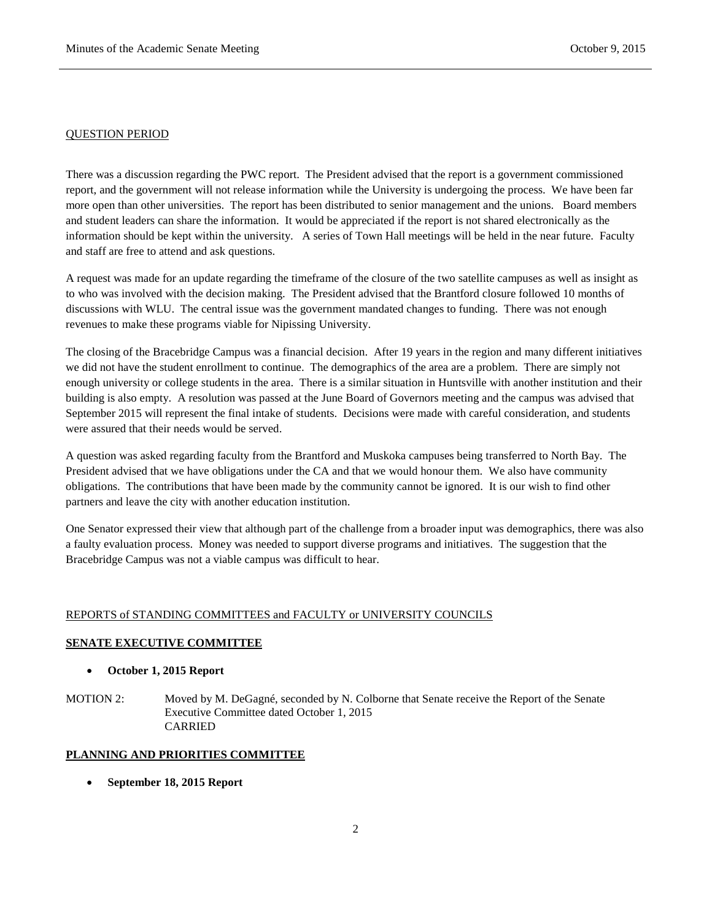### QUESTION PERIOD

There was a discussion regarding the PWC report. The President advised that the report is a government commissioned report, and the government will not release information while the University is undergoing the process. We have been far more open than other universities. The report has been distributed to senior management and the unions. Board members and student leaders can share the information. It would be appreciated if the report is not shared electronically as the information should be kept within the university. A series of Town Hall meetings will be held in the near future. Faculty and staff are free to attend and ask questions.

A request was made for an update regarding the timeframe of the closure of the two satellite campuses as well as insight as to who was involved with the decision making. The President advised that the Brantford closure followed 10 months of discussions with WLU. The central issue was the government mandated changes to funding. There was not enough revenues to make these programs viable for Nipissing University.

The closing of the Bracebridge Campus was a financial decision. After 19 years in the region and many different initiatives we did not have the student enrollment to continue. The demographics of the area are a problem. There are simply not enough university or college students in the area. There is a similar situation in Huntsville with another institution and their building is also empty. A resolution was passed at the June Board of Governors meeting and the campus was advised that September 2015 will represent the final intake of students. Decisions were made with careful consideration, and students were assured that their needs would be served.

A question was asked regarding faculty from the Brantford and Muskoka campuses being transferred to North Bay. The President advised that we have obligations under the CA and that we would honour them. We also have community obligations. The contributions that have been made by the community cannot be ignored. It is our wish to find other partners and leave the city with another education institution.

One Senator expressed their view that although part of the challenge from a broader input was demographics, there was also a faulty evaluation process. Money was needed to support diverse programs and initiatives. The suggestion that the Bracebridge Campus was not a viable campus was difficult to hear.

# REPORTS of STANDING COMMITTEES and FACULTY or UNIVERSITY COUNCILS

## **SENATE EXECUTIVE COMMITTEE**

# • **October 1, 2015 Report**

MOTION 2: Moved by M. DeGagné, seconded by N. Colborne that Senate receive the Report of the Senate Executive Committee dated October 1, 2015 CARRIED

## **PLANNING AND PRIORITIES COMMITTEE**

• **September 18, 2015 Report**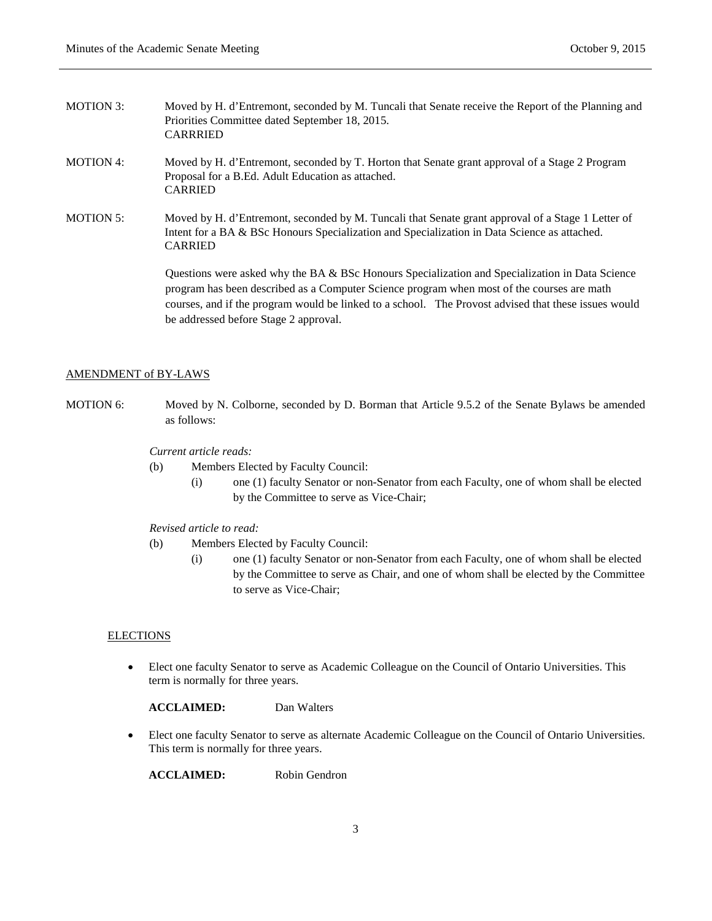- MOTION 3: Moved by H. d'Entremont, seconded by M. Tuncali that Senate receive the Report of the Planning and Priorities Committee dated September 18, 2015. CARRRIED
- MOTION 4: Moved by H. d'Entremont, seconded by T. Horton that Senate grant approval of a Stage 2 Program Proposal for a B.Ed. Adult Education as attached. CARRIED
- MOTION 5: Moved by H. d'Entremont, seconded by M. Tuncali that Senate grant approval of a Stage 1 Letter of Intent for a BA & BSc Honours Specialization and Specialization in Data Science as attached. CARRIED

Questions were asked why the BA & BSc Honours Specialization and Specialization in Data Science program has been described as a Computer Science program when most of the courses are math courses, and if the program would be linked to a school. The Provost advised that these issues would be addressed before Stage 2 approval.

### AMENDMENT of BY-LAWS

MOTION 6: Moved by N. Colborne, seconded by D. Borman that Article 9.5.2 of the Senate Bylaws be amended as follows:

### *Current article reads:*

- (b) Members Elected by Faculty Council:
	- (i) one (1) faculty Senator or non-Senator from each Faculty, one of whom shall be elected by the Committee to serve as Vice-Chair;
- *Revised article to read:*
- (b) Members Elected by Faculty Council:
	- (i) one (1) faculty Senator or non-Senator from each Faculty, one of whom shall be elected by the Committee to serve as Chair, and one of whom shall be elected by the Committee to serve as Vice-Chair;

#### **ELECTIONS**

• Elect one faculty Senator to serve as Academic Colleague on the Council of Ontario Universities. This term is normally for three years.

**ACCLAIMED:** Dan Walters

• Elect one faculty Senator to serve as alternate Academic Colleague on the Council of Ontario Universities. This term is normally for three years.

**ACCLAIMED:** Robin Gendron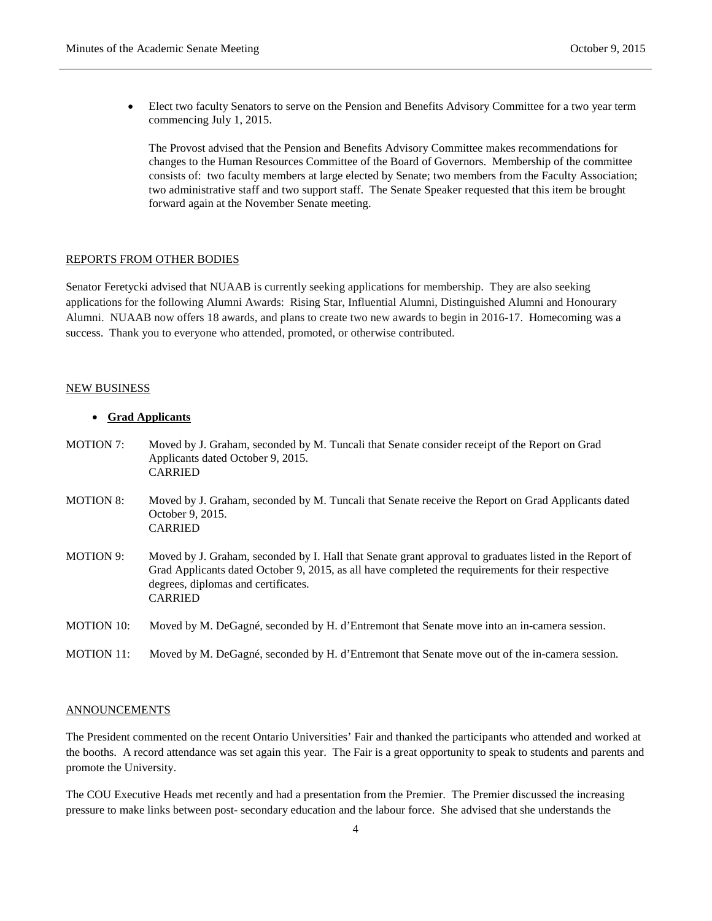• Elect two faculty Senators to serve on the Pension and Benefits Advisory Committee for a two year term commencing July 1, 2015.

The Provost advised that the Pension and Benefits Advisory Committee makes recommendations for changes to the Human Resources Committee of the Board of Governors. Membership of the committee consists of: two faculty members at large elected by Senate; two members from the Faculty Association; two administrative staff and two support staff. The Senate Speaker requested that this item be brought forward again at the November Senate meeting.

#### REPORTS FROM OTHER BODIES

Senator Feretycki advised that NUAAB is currently seeking applications for membership. They are also seeking applications for the following Alumni Awards: Rising Star, Influential Alumni, Distinguished Alumni and Honourary Alumni. NUAAB now offers 18 awards, and plans to create two new awards to begin in 2016-17. Homecoming was a success. Thank you to everyone who attended, promoted, or otherwise contributed.

#### NEW BUSINESS

## • **Grad Applicants**

| <b>MOTION 7:</b>  | Moved by J. Graham, seconded by M. Tuncali that Senate consider receipt of the Report on Grad<br>Applicants dated October 9, 2015.<br><b>CARRIED</b>                                                                                                                   |
|-------------------|------------------------------------------------------------------------------------------------------------------------------------------------------------------------------------------------------------------------------------------------------------------------|
| <b>MOTION 8:</b>  | Moved by J. Graham, seconded by M. Tuncali that Senate receive the Report on Grad Applicants dated<br>October 9, 2015.<br><b>CARRIED</b>                                                                                                                               |
| <b>MOTION 9:</b>  | Moved by J. Graham, seconded by I. Hall that Senate grant approval to graduates listed in the Report of<br>Grad Applicants dated October 9, 2015, as all have completed the requirements for their respective<br>degrees, diplomas and certificates.<br><b>CARRIED</b> |
| <b>MOTION 10:</b> | Moved by M. DeGagné, seconded by H. d'Entremont that Senate move into an in-camera session.                                                                                                                                                                            |
| <b>MOTION 11:</b> | Moved by M. DeGagné, seconded by H. d'Entremont that Senate move out of the in-camera session.                                                                                                                                                                         |

## **ANNOUNCEMENTS**

The President commented on the recent Ontario Universities' Fair and thanked the participants who attended and worked at the booths. A record attendance was set again this year. The Fair is a great opportunity to speak to students and parents and promote the University.

The COU Executive Heads met recently and had a presentation from the Premier. The Premier discussed the increasing pressure to make links between post- secondary education and the labour force. She advised that she understands the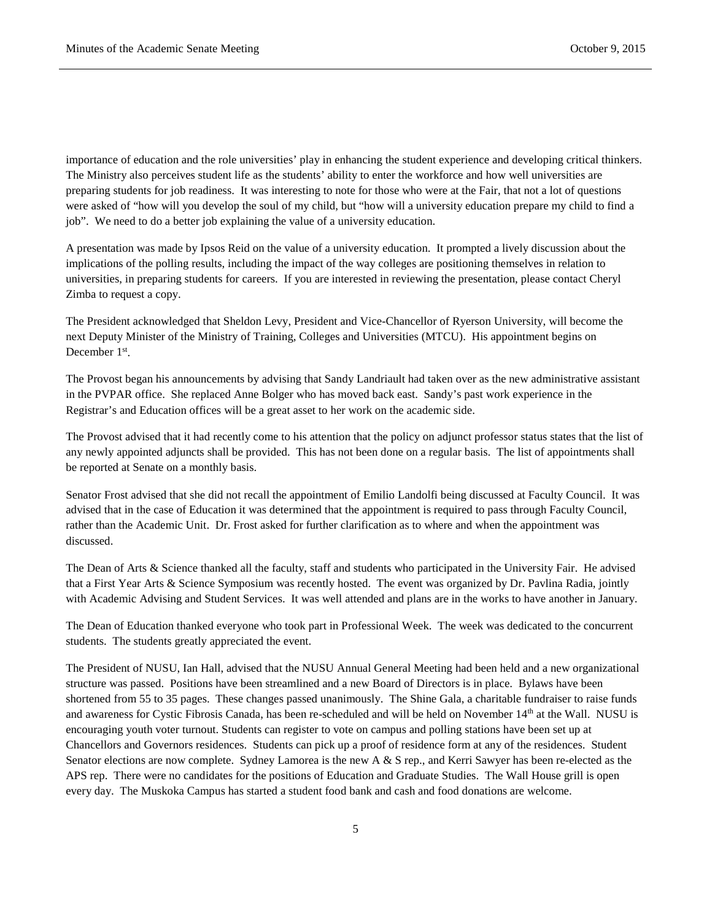importance of education and the role universities' play in enhancing the student experience and developing critical thinkers. The Ministry also perceives student life as the students' ability to enter the workforce and how well universities are preparing students for job readiness. It was interesting to note for those who were at the Fair, that not a lot of questions were asked of "how will you develop the soul of my child, but "how will a university education prepare my child to find a job". We need to do a better job explaining the value of a university education.

A presentation was made by Ipsos Reid on the value of a university education. It prompted a lively discussion about the implications of the polling results, including the impact of the way colleges are positioning themselves in relation to universities, in preparing students for careers. If you are interested in reviewing the presentation, please contact Cheryl Zimba to request a copy.

The President acknowledged that Sheldon Levy, President and Vice-Chancellor of Ryerson University, will become the next Deputy Minister of the Ministry of Training, Colleges and Universities (MTCU). His appointment begins on December 1<sup>st</sup>.

The Provost began his announcements by advising that Sandy Landriault had taken over as the new administrative assistant in the PVPAR office. She replaced Anne Bolger who has moved back east. Sandy's past work experience in the Registrar's and Education offices will be a great asset to her work on the academic side.

The Provost advised that it had recently come to his attention that the policy on adjunct professor status states that the list of any newly appointed adjuncts shall be provided. This has not been done on a regular basis. The list of appointments shall be reported at Senate on a monthly basis.

Senator Frost advised that she did not recall the appointment of Emilio Landolfi being discussed at Faculty Council. It was advised that in the case of Education it was determined that the appointment is required to pass through Faculty Council, rather than the Academic Unit. Dr. Frost asked for further clarification as to where and when the appointment was discussed.

The Dean of Arts & Science thanked all the faculty, staff and students who participated in the University Fair. He advised that a First Year Arts & Science Symposium was recently hosted. The event was organized by Dr. Pavlina Radia, jointly with Academic Advising and Student Services. It was well attended and plans are in the works to have another in January.

The Dean of Education thanked everyone who took part in Professional Week. The week was dedicated to the concurrent students. The students greatly appreciated the event.

The President of NUSU, Ian Hall, advised that the NUSU Annual General Meeting had been held and a new organizational structure was passed. Positions have been streamlined and a new Board of Directors is in place. Bylaws have been shortened from 55 to 35 pages. These changes passed unanimously. The Shine Gala, a charitable fundraiser to raise funds and awareness for Cystic Fibrosis Canada, has been re-scheduled and will be held on November 14th at the Wall. NUSU is encouraging youth voter turnout. Students can register to vote on campus and polling stations have been set up at Chancellors and Governors residences. Students can pick up a proof of residence form at any of the residences. Student Senator elections are now complete. Sydney Lamorea is the new A & S rep., and Kerri Sawyer has been re-elected as the APS rep. There were no candidates for the positions of Education and Graduate Studies. The Wall House grill is open every day. The Muskoka Campus has started a student food bank and cash and food donations are welcome.